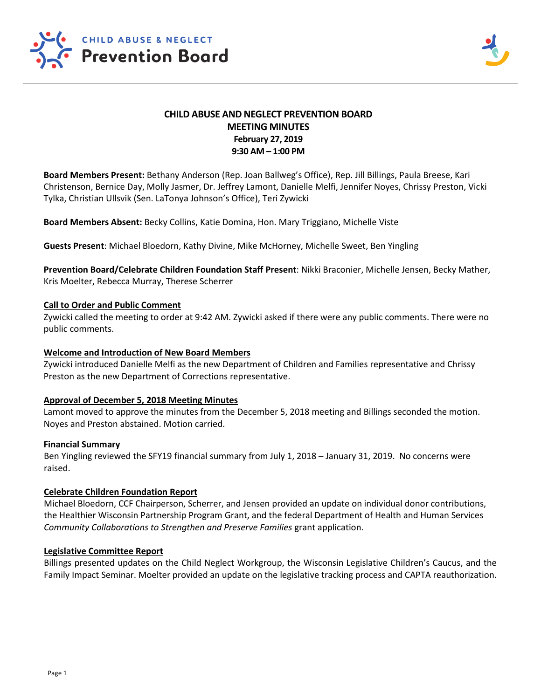

# **CHILD ABUSE AND NEGLECT PREVENTION BOARD MEETING MINUTES February 27, 2019 9:30 AM – 1:00 PM**

**Board Members Present:** Bethany Anderson (Rep. Joan Ballweg's Office), Rep. Jill Billings, Paula Breese, Kari Christenson, Bernice Day, Molly Jasmer, Dr. Jeffrey Lamont, Danielle Melfi, Jennifer Noyes, Chrissy Preston, Vicki Tylka, Christian Ullsvik (Sen. LaTonya Johnson's Office), Teri Zywicki

**Board Members Absent:** Becky Collins, Katie Domina, Hon. Mary Triggiano, Michelle Viste

**Guests Present**: Michael Bloedorn, Kathy Divine, Mike McHorney, Michelle Sweet, Ben Yingling

**Prevention Board/Celebrate Children Foundation Staff Present**: Nikki Braconier, Michelle Jensen, Becky Mather, Kris Moelter, Rebecca Murray, Therese Scherrer

### **Call to Order and Public Comment**

Zywicki called the meeting to order at 9:42 AM. Zywicki asked if there were any public comments. There were no public comments.

### **Welcome and Introduction of New Board Members**

Zywicki introduced Danielle Melfi as the new Department of Children and Families representative and Chrissy Preston as the new Department of Corrections representative.

## **Approval of December 5, 2018 Meeting Minutes**

Lamont moved to approve the minutes from the December 5, 2018 meeting and Billings seconded the motion. Noyes and Preston abstained. Motion carried.

#### **Financial Summary**

Ben Yingling reviewed the SFY19 financial summary from July 1, 2018 – January 31, 2019. No concerns were raised.

#### **Celebrate Children Foundation Report**

Michael Bloedorn, CCF Chairperson, Scherrer, and Jensen provided an update on individual donor contributions, the Healthier Wisconsin Partnership Program Grant, and the federal Department of Health and Human Services *Community Collaborations to Strengthen and Preserve Families* grant application.

#### **Legislative Committee Report**

Billings presented updates on the Child Neglect Workgroup, the Wisconsin Legislative Children's Caucus, and the Family Impact Seminar. Moelter provided an update on the legislative tracking process and CAPTA reauthorization.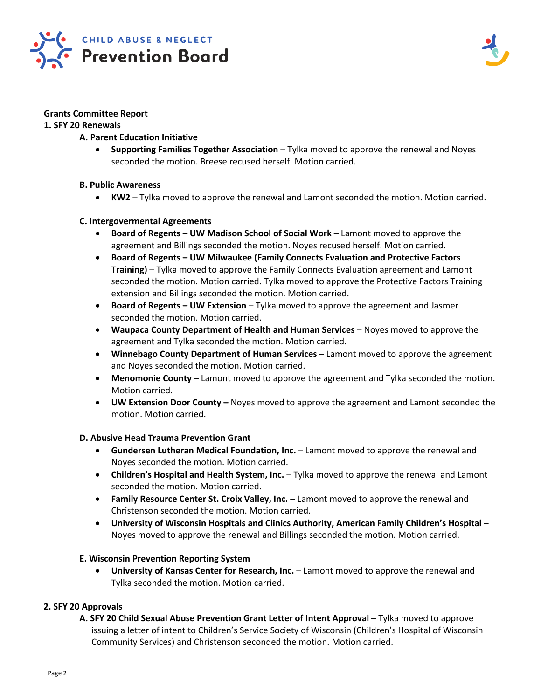

## **Grants Committee Report**

### **1. SFY 20 Renewals**

## **A. Parent Education Initiative**

• **Supporting Families Together Association** – Tylka moved to approve the renewal and Noyes seconded the motion. Breese recused herself. Motion carried.

## **B. Public Awareness**

• **KW2** – Tylka moved to approve the renewal and Lamont seconded the motion. Motion carried.

## **C. Intergovermental Agreements**

- **Board of Regents – UW Madison School of Social Work** Lamont moved to approve the agreement and Billings seconded the motion. Noyes recused herself. Motion carried.
- **Board of Regents – UW Milwaukee (Family Connects Evaluation and Protective Factors Training)** – Tylka moved to approve the Family Connects Evaluation agreement and Lamont seconded the motion. Motion carried. Tylka moved to approve the Protective Factors Training extension and Billings seconded the motion. Motion carried.
- **Board of Regents – UW Extension** Tylka moved to approve the agreement and Jasmer seconded the motion. Motion carried.
- **Waupaca County Department of Health and Human Services** Noyes moved to approve the agreement and Tylka seconded the motion. Motion carried.
- **Winnebago County Department of Human Services** Lamont moved to approve the agreement and Noyes seconded the motion. Motion carried.
- **Menomonie County** Lamont moved to approve the agreement and Tylka seconded the motion. Motion carried.
- **UW Extension Door County –** Noyes moved to approve the agreement and Lamont seconded the motion. Motion carried.

## **D. Abusive Head Trauma Prevention Grant**

- **Gundersen Lutheran Medical Foundation, Inc.** Lamont moved to approve the renewal and Noyes seconded the motion. Motion carried.
- **Children's Hospital and Health System, Inc.**  Tylka moved to approve the renewal and Lamont seconded the motion. Motion carried.
- **Family Resource Center St. Croix Valley, Inc.** Lamont moved to approve the renewal and Christenson seconded the motion. Motion carried.
- **University of Wisconsin Hospitals and Clinics Authority, American Family Children's Hospital** Noyes moved to approve the renewal and Billings seconded the motion. Motion carried.

## **E. Wisconsin Prevention Reporting System**

• **University of Kansas Center for Research, Inc.** – Lamont moved to approve the renewal and Tylka seconded the motion. Motion carried.

## **2. SFY 20 Approvals**

**A. SFY 20 Child Sexual Abuse Prevention Grant Letter of Intent Approval** – Tylka moved to approve issuing a letter of intent to Children's Service Society of Wisconsin (Children's Hospital of Wisconsin Community Services) and Christenson seconded the motion. Motion carried.